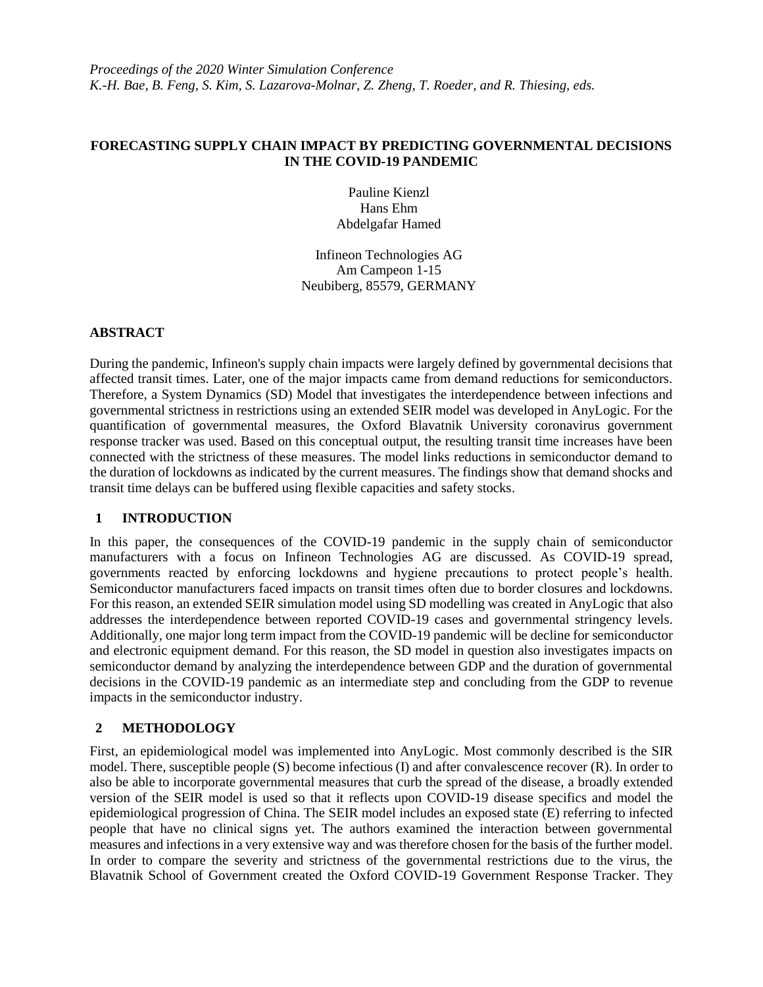## **FORECASTING SUPPLY CHAIN IMPACT BY PREDICTING GOVERNMENTAL DECISIONS IN THE COVID-19 PANDEMIC**

Pauline Kienzl Hans Ehm Abdelgafar Hamed

Infineon Technologies AG Am Campeon 1-15 Neubiberg, 85579, GERMANY

# **ABSTRACT**

During the pandemic, Infineon's supply chain impacts were largely defined by governmental decisions that affected transit times. Later, one of the major impacts came from demand reductions for semiconductors. Therefore, a System Dynamics (SD) Model that investigates the interdependence between infections and governmental strictness in restrictions using an extended SEIR model was developed in AnyLogic. For the quantification of governmental measures, the Oxford Blavatnik University coronavirus government response tracker was used. Based on this conceptual output, the resulting transit time increases have been connected with the strictness of these measures. The model links reductions in semiconductor demand to the duration of lockdowns as indicated by the current measures. The findings show that demand shocks and transit time delays can be buffered using flexible capacities and safety stocks.

## **1 INTRODUCTION**

In this paper, the consequences of the COVID-19 pandemic in the supply chain of semiconductor manufacturers with a focus on Infineon Technologies AG are discussed. As COVID-19 spread, governments reacted by enforcing lockdowns and hygiene precautions to protect people's health. Semiconductor manufacturers faced impacts on transit times often due to border closures and lockdowns. For this reason, an extended SEIR simulation model using SD modelling was created in AnyLogic that also addresses the interdependence between reported COVID-19 cases and governmental stringency levels. Additionally, one major long term impact from the COVID-19 pandemic will be decline for semiconductor and electronic equipment demand. For this reason, the SD model in question also investigates impacts on semiconductor demand by analyzing the interdependence between GDP and the duration of governmental decisions in the COVID-19 pandemic as an intermediate step and concluding from the GDP to revenue impacts in the semiconductor industry.

# **2 METHODOLOGY**

First, an epidemiological model was implemented into AnyLogic. Most commonly described is the SIR model. There, susceptible people (S) become infectious (I) and after convalescence recover (R). In order to also be able to incorporate governmental measures that curb the spread of the disease, a broadly extended version of the SEIR model is used so that it reflects upon COVID-19 disease specifics and model the epidemiological progression of China. The SEIR model includes an exposed state (E) referring to infected people that have no clinical signs yet. The authors examined the interaction between governmental measures and infections in a very extensive way and was therefore chosen for the basis of the further model. In order to compare the severity and strictness of the governmental restrictions due to the virus, the Blavatnik School of Government created the Oxford COVID-19 Government Response Tracker. They